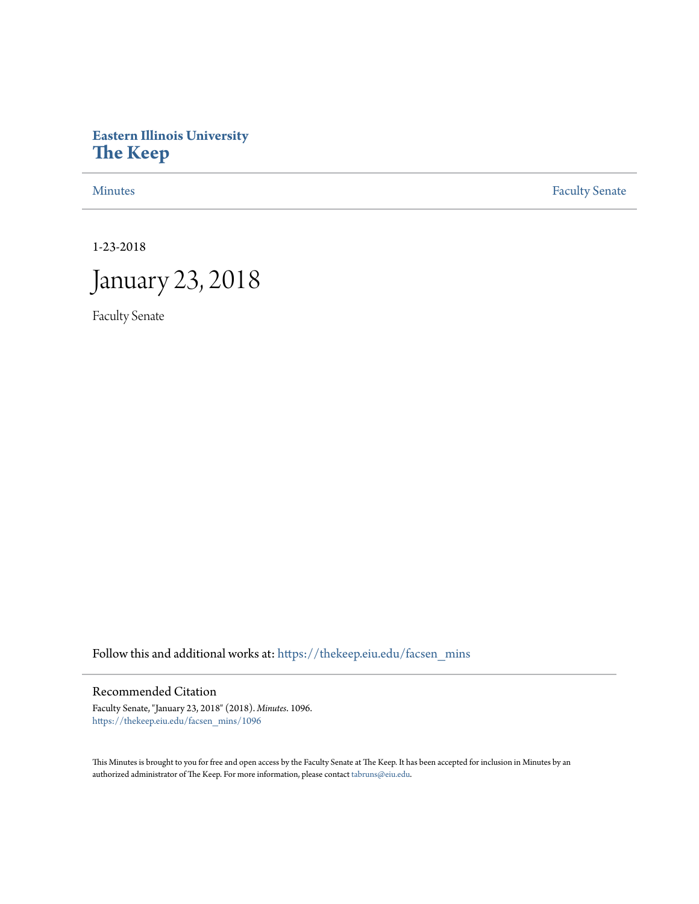# **Eastern Illinois University [The Keep](https://thekeep.eiu.edu?utm_source=thekeep.eiu.edu%2Ffacsen_mins%2F1096&utm_medium=PDF&utm_campaign=PDFCoverPages)**

[Minutes](https://thekeep.eiu.edu/facsen_mins?utm_source=thekeep.eiu.edu%2Ffacsen_mins%2F1096&utm_medium=PDF&utm_campaign=PDFCoverPages) **[Faculty Senate](https://thekeep.eiu.edu/fac_senate?utm_source=thekeep.eiu.edu%2Ffacsen_mins%2F1096&utm_medium=PDF&utm_campaign=PDFCoverPages)** 

1-23-2018



Faculty Senate

Follow this and additional works at: [https://thekeep.eiu.edu/facsen\\_mins](https://thekeep.eiu.edu/facsen_mins?utm_source=thekeep.eiu.edu%2Ffacsen_mins%2F1096&utm_medium=PDF&utm_campaign=PDFCoverPages)

## Recommended Citation

Faculty Senate, "January 23, 2018" (2018). *Minutes*. 1096. [https://thekeep.eiu.edu/facsen\\_mins/1096](https://thekeep.eiu.edu/facsen_mins/1096?utm_source=thekeep.eiu.edu%2Ffacsen_mins%2F1096&utm_medium=PDF&utm_campaign=PDFCoverPages)

This Minutes is brought to you for free and open access by the Faculty Senate at The Keep. It has been accepted for inclusion in Minutes by an authorized administrator of The Keep. For more information, please contact [tabruns@eiu.edu](mailto:tabruns@eiu.edu).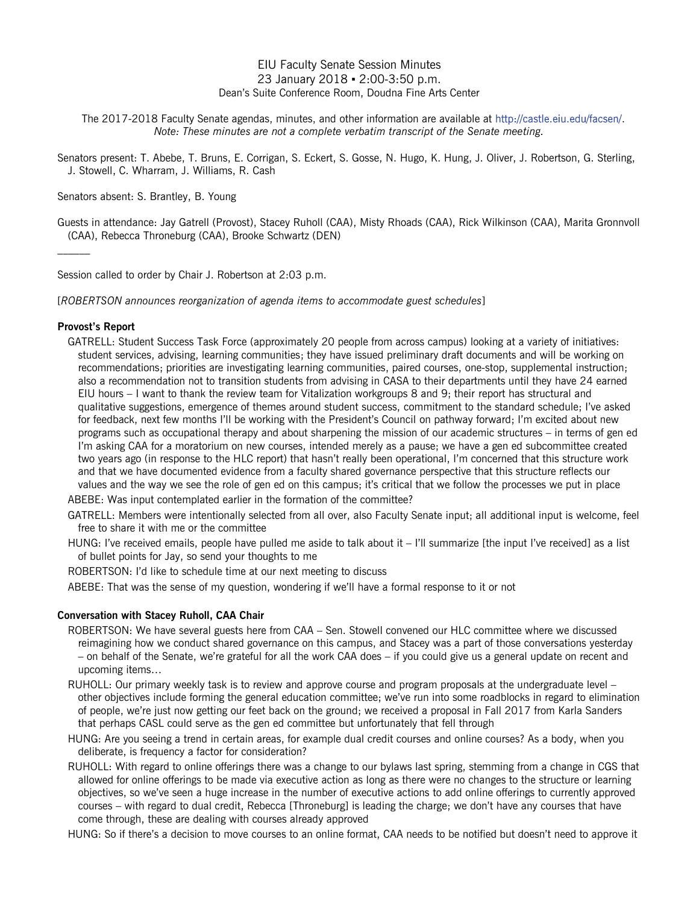## EIU Faculty Senate Session Minutes 23 January 2018 ▪ 2:00-3:50 p.m. Dean's Suite Conference Room, Doudna Fine Arts Center

The 2017-2018 Faculty Senate agendas, minutes, and other information are available at http://castle.eiu.edu/facsen/. *Note: These minutes are not a complete verbatim transcript of the Senate meeting.*

Senators present: T. Abebe, T. Bruns, E. Corrigan, S. Eckert, S. Gosse, N. Hugo, K. Hung, J. Oliver, J. Robertson, G. Sterling, J. Stowell, C. Wharram, J. Williams, R. Cash

Senators absent: S. Brantley, B. Young

Guests in attendance: Jay Gatrell (Provost), Stacey Ruholl (CAA), Misty Rhoads (CAA), Rick Wilkinson (CAA), Marita Gronnvoll (CAA), Rebecca Throneburg (CAA), Brooke Schwartz (DEN)

Session called to order by Chair J. Robertson at 2:03 p.m.

[*ROBERTSON announces reorganization of agenda items to accommodate guest schedules*]

## **Provost's Report**

- GATRELL: Student Success Task Force (approximately 20 people from across campus) looking at a variety of initiatives: student services, advising, learning communities; they have issued preliminary draft documents and will be working on recommendations; priorities are investigating learning communities, paired courses, one-stop, supplemental instruction; also a recommendation not to transition students from advising in CASA to their departments until they have 24 earned EIU hours – I want to thank the review team for Vitalization workgroups 8 and 9; their report has structural and qualitative suggestions, emergence of themes around student success, commitment to the standard schedule; I've asked for feedback, next few months I'll be working with the President's Council on pathway forward; I'm excited about new programs such as occupational therapy and about sharpening the mission of our academic structures – in terms of gen ed I'm asking CAA for a moratorium on new courses, intended merely as a pause; we have a gen ed subcommittee created two years ago (in response to the HLC report) that hasn't really been operational, I'm concerned that this structure work and that we have documented evidence from a faculty shared governance perspective that this structure reflects our values and the way we see the role of gen ed on this campus; it's critical that we follow the processes we put in place ABEBE: Was input contemplated earlier in the formation of the committee?
- GATRELL: Members were intentionally selected from all over, also Faculty Senate input; all additional input is welcome, feel free to share it with me or the committee
- HUNG: I've received emails, people have pulled me aside to talk about it I'll summarize [the input I've received] as a list of bullet points for Jay, so send your thoughts to me

ROBERTSON: I'd like to schedule time at our next meeting to discuss

ABEBE: That was the sense of my question, wondering if we'll have a formal response to it or not

## **Conversation with Stacey Ruholl, CAA Chair**

- ROBERTSON: We have several guests here from CAA Sen. Stowell convened our HLC committee where we discussed reimagining how we conduct shared governance on this campus, and Stacey was a part of those conversations yesterday – on behalf of the Senate, we're grateful for all the work CAA does – if you could give us a general update on recent and upcoming items…
- RUHOLL: Our primary weekly task is to review and approve course and program proposals at the undergraduate level other objectives include forming the general education committee; we've run into some roadblocks in regard to elimination of people, we're just now getting our feet back on the ground; we received a proposal in Fall 2017 from Karla Sanders that perhaps CASL could serve as the gen ed committee but unfortunately that fell through
- HUNG: Are you seeing a trend in certain areas, for example dual credit courses and online courses? As a body, when you deliberate, is frequency a factor for consideration?
- RUHOLL: With regard to online offerings there was a change to our bylaws last spring, stemming from a change in CGS that allowed for online offerings to be made via executive action as long as there were no changes to the structure or learning objectives, so we've seen a huge increase in the number of executive actions to add online offerings to currently approved courses – with regard to dual credit, Rebecca [Throneburg] is leading the charge; we don't have any courses that have come through, these are dealing with courses already approved

HUNG: So if there's a decision to move courses to an online format, CAA needs to be notified but doesn't need to approve it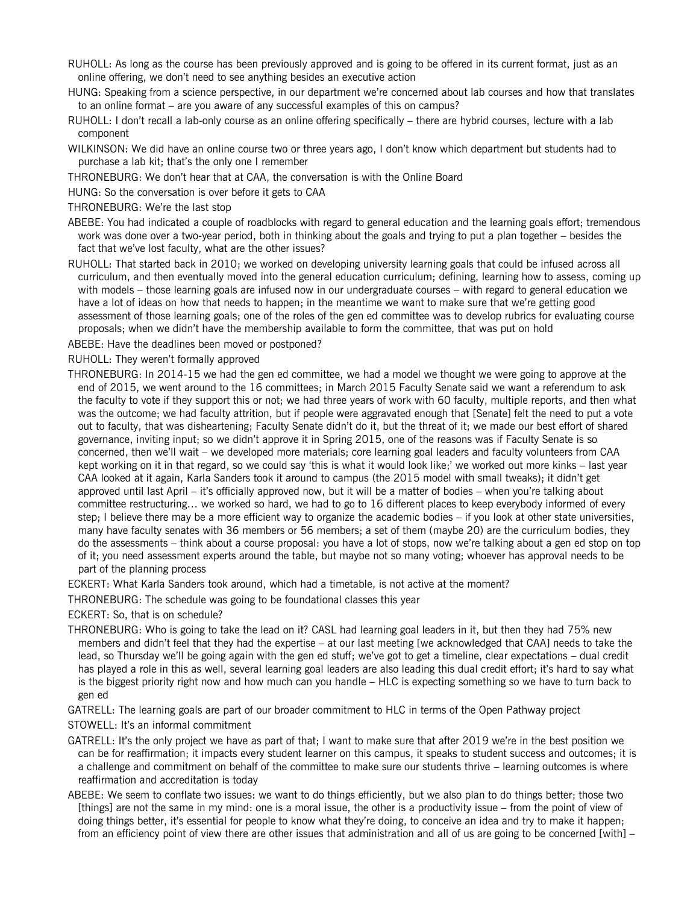- RUHOLL: As long as the course has been previously approved and is going to be offered in its current format, just as an online offering, we don't need to see anything besides an executive action
- HUNG: Speaking from a science perspective, in our department we're concerned about lab courses and how that translates to an online format – are you aware of any successful examples of this on campus?
- RUHOLL: I don't recall a lab-only course as an online offering specifically there are hybrid courses, lecture with a lab component
- WILKINSON: We did have an online course two or three years ago, I don't know which department but students had to purchase a lab kit; that's the only one I remember
- THRONEBURG: We don't hear that at CAA, the conversation is with the Online Board
- HUNG: So the conversation is over before it gets to CAA
- THRONEBURG: We're the last stop
- ABEBE: You had indicated a couple of roadblocks with regard to general education and the learning goals effort; tremendous work was done over a two-year period, both in thinking about the goals and trying to put a plan together – besides the fact that we've lost faculty, what are the other issues?
- RUHOLL: That started back in 2010; we worked on developing university learning goals that could be infused across all curriculum, and then eventually moved into the general education curriculum; defining, learning how to assess, coming up with models – those learning goals are infused now in our undergraduate courses – with regard to general education we have a lot of ideas on how that needs to happen; in the meantime we want to make sure that we're getting good assessment of those learning goals; one of the roles of the gen ed committee was to develop rubrics for evaluating course proposals; when we didn't have the membership available to form the committee, that was put on hold
- ABEBE: Have the deadlines been moved or postponed?
- RUHOLL: They weren't formally approved
- THRONEBURG: In 2014-15 we had the gen ed committee, we had a model we thought we were going to approve at the end of 2015, we went around to the 16 committees; in March 2015 Faculty Senate said we want a referendum to ask the faculty to vote if they support this or not; we had three years of work with 60 faculty, multiple reports, and then what was the outcome; we had faculty attrition, but if people were aggravated enough that [Senate] felt the need to put a vote out to faculty, that was disheartening; Faculty Senate didn't do it, but the threat of it; we made our best effort of shared governance, inviting input; so we didn't approve it in Spring 2015, one of the reasons was if Faculty Senate is so concerned, then we'll wait – we developed more materials; core learning goal leaders and faculty volunteers from CAA kept working on it in that regard, so we could say 'this is what it would look like;' we worked out more kinks – last year CAA looked at it again, Karla Sanders took it around to campus (the 2015 model with small tweaks); it didn't get approved until last April – it's officially approved now, but it will be a matter of bodies – when you're talking about committee restructuring… we worked so hard, we had to go to 16 different places to keep everybody informed of every step; I believe there may be a more efficient way to organize the academic bodies – if you look at other state universities, many have faculty senates with 36 members or 56 members; a set of them (maybe 20) are the curriculum bodies, they do the assessments – think about a course proposal: you have a lot of stops, now we're talking about a gen ed stop on top of it; you need assessment experts around the table, but maybe not so many voting; whoever has approval needs to be part of the planning process
- ECKERT: What Karla Sanders took around, which had a timetable, is not active at the moment?
- THRONEBURG: The schedule was going to be foundational classes this year
- ECKERT: So, that is on schedule?
- THRONEBURG: Who is going to take the lead on it? CASL had learning goal leaders in it, but then they had 75% new members and didn't feel that they had the expertise – at our last meeting [we acknowledged that CAA] needs to take the lead, so Thursday we'll be going again with the gen ed stuff; we've got to get a timeline, clear expectations – dual credit has played a role in this as well, several learning goal leaders are also leading this dual credit effort; it's hard to say what is the biggest priority right now and how much can you handle – HLC is expecting something so we have to turn back to gen ed
- GATRELL: The learning goals are part of our broader commitment to HLC in terms of the Open Pathway project
- STOWELL: It's an informal commitment
- GATRELL: It's the only project we have as part of that; I want to make sure that after 2019 we're in the best position we can be for reaffirmation; it impacts every student learner on this campus, it speaks to student success and outcomes; it is a challenge and commitment on behalf of the committee to make sure our students thrive – learning outcomes is where reaffirmation and accreditation is today
- ABEBE: We seem to conflate two issues: we want to do things efficiently, but we also plan to do things better; those two [things] are not the same in my mind: one is a moral issue, the other is a productivity issue – from the point of view of doing things better, it's essential for people to know what they're doing, to conceive an idea and try to make it happen; from an efficiency point of view there are other issues that administration and all of us are going to be concerned [with] –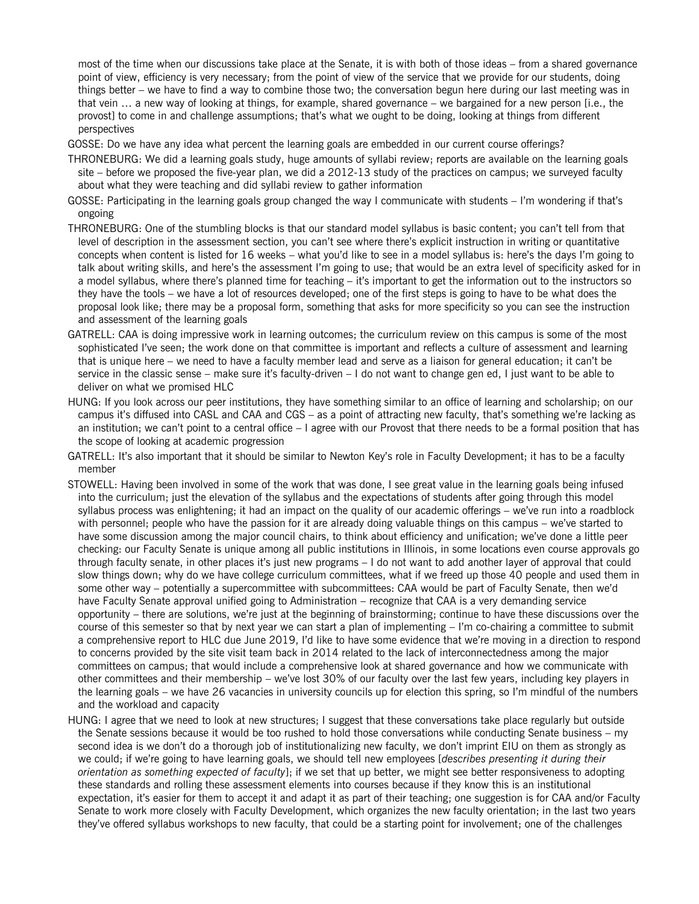most of the time when our discussions take place at the Senate, it is with both of those ideas – from a shared governance point of view, efficiency is very necessary; from the point of view of the service that we provide for our students, doing things better – we have to find a way to combine those two; the conversation begun here during our last meeting was in that vein … a new way of looking at things, for example, shared governance – we bargained for a new person [i.e., the provost] to come in and challenge assumptions; that's what we ought to be doing, looking at things from different perspectives

GOSSE: Do we have any idea what percent the learning goals are embedded in our current course offerings?

- THRONEBURG: We did a learning goals study, huge amounts of syllabi review; reports are available on the [learning goals](http://www.eiu.edu/learninggoals/)  [site](http://www.eiu.edu/learninggoals/) – before we proposed the five-year plan, we did a 2012-13 study of the practices on campus; we surveyed faculty about what they were teaching and did syllabi review to gather information
- GOSSE: Participating in the learning goals group changed the way I communicate with students I'm wondering if that's ongoing
- THRONEBURG: One of the stumbling blocks is that our standard model syllabus is basic content; you can't tell from that level of description in the assessment section, you can't see where there's explicit instruction in writing or quantitative concepts when content is listed for 16 weeks – what you'd like to see in a model syllabus is: here's the days I'm going to talk about writing skills, and here's the assessment I'm going to use; that would be an extra level of specificity asked for in a model syllabus, where there's planned time for teaching – it's important to get the information out to the instructors so they have the tools – we have a lot of resources developed; one of the first steps is going to have to be what does the proposal look like; there may be a proposal form, something that asks for more specificity so you can see the instruction and assessment of the learning goals
- GATRELL: CAA is doing impressive work in learning outcomes; the curriculum review on this campus is some of the most sophisticated I've seen; the work done on that committee is important and reflects a culture of assessment and learning that is unique here – we need to have a faculty member lead and serve as a liaison for general education; it can't be service in the classic sense – make sure it's faculty-driven – I do not want to change gen ed, I just want to be able to deliver on what we promised HLC
- HUNG: If you look across our peer institutions, they have something similar to an office of learning and scholarship; on our campus it's diffused into CASL and CAA and CGS – as a point of attracting new faculty, that's something we're lacking as an institution; we can't point to a central office – I agree with our Provost that there needs to be a formal position that has the scope of looking at academic progression
- GATRELL: It's also important that it should be similar to Newton Key's role in Faculty Development; it has to be a faculty member
- STOWELL: Having been involved in some of the work that was done, I see great value in the learning goals being infused into the curriculum; just the elevation of the syllabus and the expectations of students after going through this model syllabus process was enlightening; it had an impact on the quality of our academic offerings – we've run into a roadblock with personnel; people who have the passion for it are already doing valuable things on this campus – we've started to have some discussion among the major council chairs, to think about efficiency and unification; we've done a little peer checking: our Faculty Senate is unique among all public institutions in Illinois, in some locations even course approvals go through faculty senate, in other places it's just new programs – I do not want to add another layer of approval that could slow things down; why do we have college curriculum committees, what if we freed up those 40 people and used them in some other way – potentially a supercommittee with subcommittees: CAA would be part of Faculty Senate, then we'd have Faculty Senate approval unified going to Administration – recognize that CAA is a very demanding service opportunity – there are solutions, we're just at the beginning of brainstorming; continue to have these discussions over the course of this semester so that by next year we can start a plan of implementing  $-1$ 'm co-chairing a committee to submit a comprehensive report to HLC due June 2019, I'd like to have some evidence that we're moving in a direction to respond to concerns provided by the site visit team back in 2014 related to the lack of interconnectedness among the major committees on campus; that would include a comprehensive look at shared governance and how we communicate with other committees and their membership – we've lost 30% of our faculty over the last few years, including key players in the learning goals – we have 26 vacancies in university councils up for election this spring, so I'm mindful of the numbers and the workload and capacity
- HUNG: I agree that we need to look at new structures; I suggest that these conversations take place regularly but outside the Senate sessions because it would be too rushed to hold those conversations while conducting Senate business – my second idea is we don't do a thorough job of institutionalizing new faculty, we don't imprint EIU on them as strongly as we could; if we're going to have learning goals, we should tell new employees [*describes presenting it during their orientation as something expected of faculty*]; if we set that up better, we might see better responsiveness to adopting these standards and rolling these assessment elements into courses because if they know this is an institutional expectation, it's easier for them to accept it and adapt it as part of their teaching; one suggestion is for CAA and/or Faculty Senate to work more closely with Faculty Development, which organizes the new faculty orientation; in the last two years they've offered syllabus workshops to new faculty, that could be a starting point for involvement; one of the challenges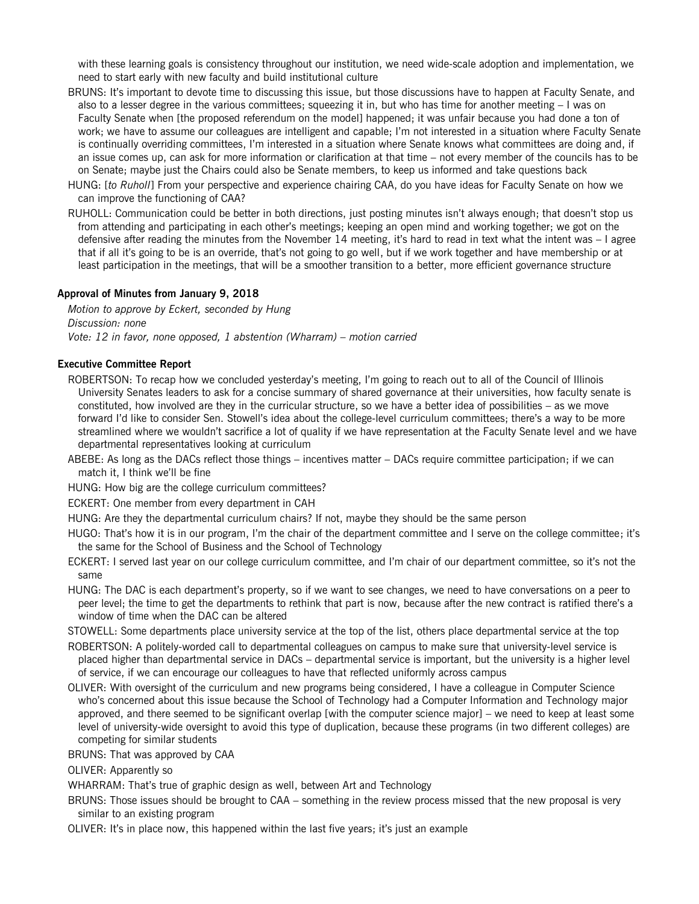with these learning goals is consistency throughout our institution, we need wide-scale adoption and implementation, we need to start early with new faculty and build institutional culture

- BRUNS: It's important to devote time to discussing this issue, but those discussions have to happen at Faculty Senate, and also to a lesser degree in the various committees; squeezing it in, but who has time for another meeting – I was on Faculty Senate when [the proposed referendum on the model] happened; it was unfair because you had done a ton of work; we have to assume our colleagues are intelligent and capable; I'm not interested in a situation where Faculty Senate is continually overriding committees, I'm interested in a situation where Senate knows what committees are doing and, if an issue comes up, can ask for more information or clarification at that time – not every member of the councils has to be on Senate; maybe just the Chairs could also be Senate members, to keep us informed and take questions back
- HUNG: [*to Ruholl*] From your perspective and experience chairing CAA, do you have ideas for Faculty Senate on how we can improve the functioning of CAA?
- RUHOLL: Communication could be better in both directions, just posting minutes isn't always enough; that doesn't stop us from attending and participating in each other's meetings; keeping an open mind and working together; we got on the defensive after reading the minutes from the November 14 meeting, it's hard to read in text what the intent was – I agree that if all it's going to be is an override, that's not going to go well, but if we work together and have membership or at least participation in the meetings, that will be a smoother transition to a better, more efficient governance structure

#### **Approval of Minutes from January 9, 2018**

*Motion to approve by Eckert, seconded by Hung Discussion: none Vote: 12 in favor, none opposed, 1 abstention (Wharram) – motion carried*

#### **Executive Committee Report**

- ROBERTSON: To recap how we concluded yesterday's meeting, I'm going to reach out to all of the Council of Illinois University Senates leaders to ask for a concise summary of shared governance at their universities, how faculty senate is constituted, how involved are they in the curricular structure, so we have a better idea of possibilities – as we move forward I'd like to consider Sen. Stowell's idea about the college-level curriculum committees; there's a way to be more streamlined where we wouldn't sacrifice a lot of quality if we have representation at the Faculty Senate level and we have departmental representatives looking at curriculum
- ABEBE: As long as the DACs reflect those things incentives matter DACs require committee participation; if we can match it, I think we'll be fine
- HUNG: How big are the college curriculum committees?
- ECKERT: One member from every department in CAH

HUNG: Are they the departmental curriculum chairs? If not, maybe they should be the same person

- HUGO: That's how it is in our program, I'm the chair of the department committee and I serve on the college committee; it's the same for the School of Business and the School of Technology
- ECKERT: I served last year on our college curriculum committee, and I'm chair of our department committee, so it's not the same
- HUNG: The DAC is each department's property, so if we want to see changes, we need to have conversations on a peer to peer level; the time to get the departments to rethink that part is now, because after the new contract is ratified there's a window of time when the DAC can be altered
- STOWELL: Some departments place university service at the top of the list, others place departmental service at the top
- ROBERTSON: A politely-worded call to departmental colleagues on campus to make sure that university-level service is placed higher than departmental service in DACs – departmental service is important, but the university is a higher level of service, if we can encourage our colleagues to have that reflected uniformly across campus
- OLIVER: With oversight of the curriculum and new programs being considered, I have a colleague in Computer Science who's concerned about this issue because the School of Technology had a Computer Information and Technology major approved, and there seemed to be significant overlap [with the computer science major] – we need to keep at least some level of university-wide oversight to avoid this type of duplication, because these programs (in two different colleges) are competing for similar students
- BRUNS: That was approved by CAA
- OLIVER: Apparently so

WHARRAM: That's true of graphic design as well, between Art and Technology

- BRUNS: Those issues should be brought to CAA something in the review process missed that the new proposal is very similar to an existing program
- OLIVER: It's in place now, this happened within the last five years; it's just an example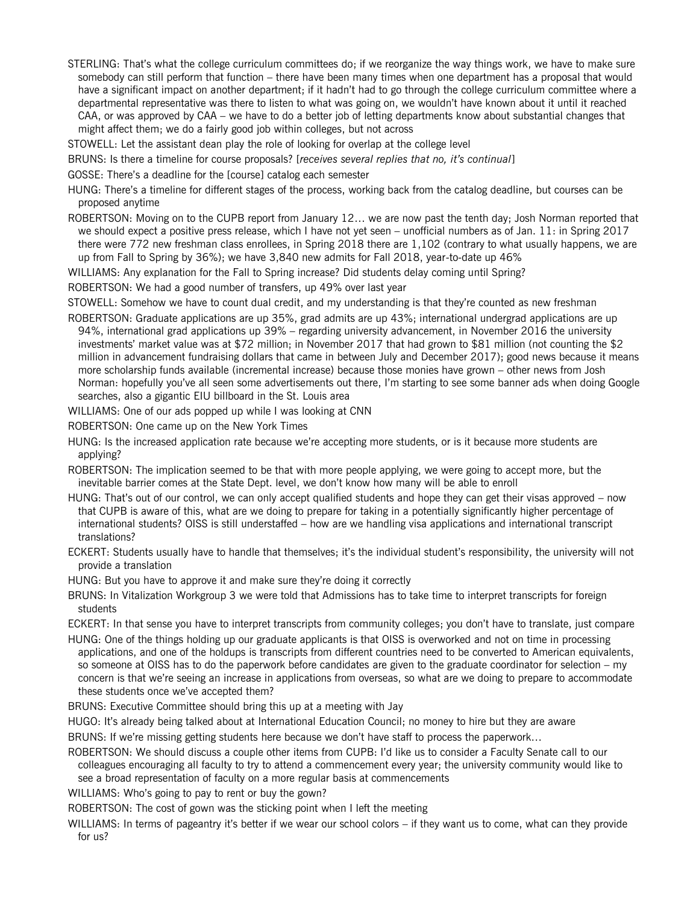- STERLING: That's what the college curriculum committees do; if we reorganize the way things work, we have to make sure somebody can still perform that function – there have been many times when one department has a proposal that would have a significant impact on another department; if it hadn't had to go through the college curriculum committee where a departmental representative was there to listen to what was going on, we wouldn't have known about it until it reached CAA, or was approved by CAA – we have to do a better job of letting departments know about substantial changes that might affect them; we do a fairly good job within colleges, but not across
- STOWELL: Let the assistant dean play the role of looking for overlap at the college level
- BRUNS: Is there a timeline for course proposals? [*receives several replies that no, it's continual*]
- GOSSE: There's a deadline for the [course] catalog each semester
- HUNG: There's a timeline for different stages of the process, working back from the catalog deadline, but courses can be proposed anytime
- ROBERTSON: Moving on to the CUPB report from January 12… we are now past the tenth day; Josh Norman reported that we should expect a positive press release, which I have not yet seen – unofficial numbers as of Jan. 11: in Spring 2017 there were 772 new freshman class enrollees, in Spring 2018 there are 1,102 (contrary to what usually happens, we are up from Fall to Spring by 36%); we have 3,840 new admits for Fall 2018, year-to-date up 46%
- WILLIAMS: Any explanation for the Fall to Spring increase? Did students delay coming until Spring?
- ROBERTSON: We had a good number of transfers, up 49% over last year
- STOWELL: Somehow we have to count dual credit, and my understanding is that they're counted as new freshman
- ROBERTSON: Graduate applications are up 35%, grad admits are up 43%; international undergrad applications are up 94%, international grad applications up 39% – regarding university advancement, in November 2016 the university investments' market value was at \$72 million; in November 2017 that had grown to \$81 million (not counting the \$2 million in advancement fundraising dollars that came in between July and December 2017); good news because it means more scholarship funds available (incremental increase) because those monies have grown – other news from Josh Norman: hopefully you've all seen some advertisements out there, I'm starting to see some banner ads when doing Google searches, also a gigantic EIU billboard in the St. Louis area
- WILLIAMS: One of our ads popped up while I was looking at CNN
- ROBERTSON: One came up on the New York Times
- HUNG: Is the increased application rate because we're accepting more students, or is it because more students are applying?
- ROBERTSON: The implication seemed to be that with more people applying, we were going to accept more, but the inevitable barrier comes at the State Dept. level, we don't know how many will be able to enroll
- HUNG: That's out of our control, we can only accept qualified students and hope they can get their visas approved now that CUPB is aware of this, what are we doing to prepare for taking in a potentially significantly higher percentage of international students? OISS is still understaffed – how are we handling visa applications and international transcript translations?
- ECKERT: Students usually have to handle that themselves; it's the individual student's responsibility, the university will not provide a translation
- HUNG: But you have to approve it and make sure they're doing it correctly
- BRUNS: In Vitalization Workgroup 3 we were told that Admissions has to take time to interpret transcripts for foreign students
- ECKERT: In that sense you have to interpret transcripts from community colleges; you don't have to translate, just compare
- HUNG: One of the things holding up our graduate applicants is that OISS is overworked and not on time in processing applications, and one of the holdups is transcripts from different countries need to be converted to American equivalents, so someone at OISS has to do the paperwork before candidates are given to the graduate coordinator for selection – my concern is that we're seeing an increase in applications from overseas, so what are we doing to prepare to accommodate these students once we've accepted them?
- BRUNS: Executive Committee should bring this up at a meeting with Jay
- HUGO: It's already being talked about at International Education Council; no money to hire but they are aware
- BRUNS: If we're missing getting students here because we don't have staff to process the paperwork…
- ROBERTSON: We should discuss a couple other items from CUPB: I'd like us to consider a Faculty Senate call to our colleagues encouraging all faculty to try to attend a commencement every year; the university community would like to see a broad representation of faculty on a more regular basis at commencements
- WILLIAMS: Who's going to pay to rent or buy the gown?
- ROBERTSON: The cost of gown was the sticking point when I left the meeting
- WILLIAMS: In terms of pageantry it's better if we wear our school colors if they want us to come, what can they provide for us?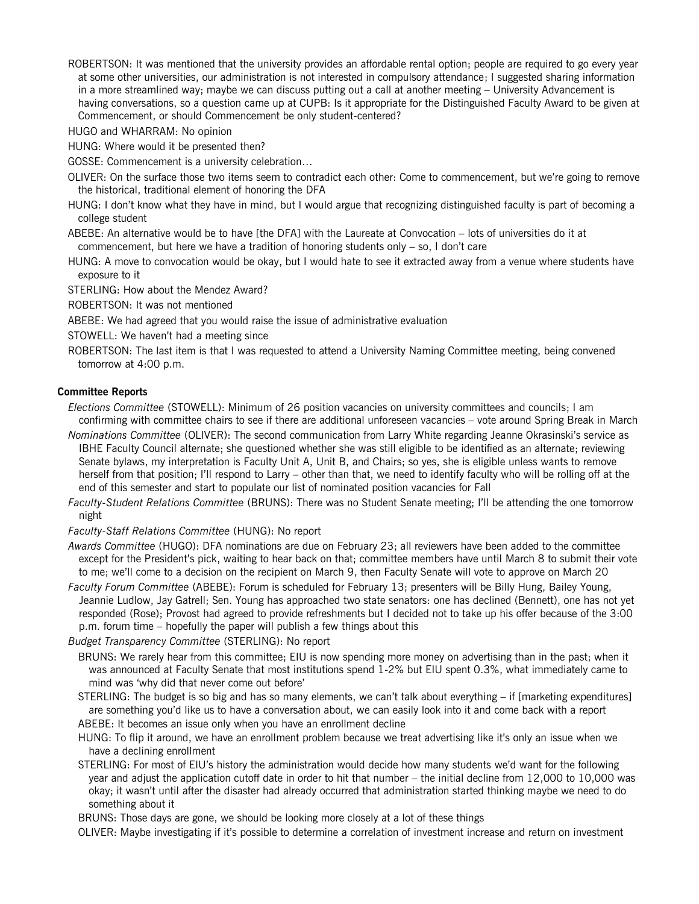ROBERTSON: It was mentioned that the university provides an affordable rental option; people are required to go every year at some other universities, our administration is not interested in compulsory attendance; I suggested sharing information in a more streamlined way; maybe we can discuss putting out a call at another meeting – University Advancement is having conversations, so a question came up at CUPB: Is it appropriate for the Distinguished Faculty Award to be given at Commencement, or should Commencement be only student-centered?

HUGO and WHARRAM: No opinion

HUNG: Where would it be presented then?

GOSSE: Commencement is a university celebration…

OLIVER: On the surface those two items seem to contradict each other: Come to commencement, but we're going to remove the historical, traditional element of honoring the DFA

HUNG: I don't know what they have in mind, but I would argue that recognizing distinguished faculty is part of becoming a college student

ABEBE: An alternative would be to have [the DFA] with the Laureate at Convocation – lots of universities do it at commencement, but here we have a tradition of honoring students only – so, I don't care

HUNG: A move to convocation would be okay, but I would hate to see it extracted away from a venue where students have exposure to it

STERLING: How about the Mendez Award?

ROBERTSON: It was not mentioned

- ABEBE: We had agreed that you would raise the issue of administrative evaluation
- STOWELL: We haven't had a meeting since

ROBERTSON: The last item is that I was requested to attend a University Naming Committee meeting, being convened tomorrow at 4:00 p.m.

#### **Committee Reports**

*Elections Committee* (STOWELL): Minimum of 26 position vacancies on university committees and councils; I am confirming with committee chairs to see if there are additional unforeseen vacancies – vote around Spring Break in March

- *Nominations Committee* (OLIVER): The second communication from Larry White regarding Jeanne Okrasinski's service as IBHE Faculty Council alternate; she questioned whether she was still eligible to be identified as an alternate; reviewing Senate bylaws, my interpretation is Faculty Unit A, Unit B, and Chairs; so yes, she is eligible unless wants to remove herself from that position; I'll respond to Larry – other than that, we need to identify faculty who will be rolling off at the end of this semester and start to populate our list of nominated position vacancies for Fall
- *Faculty-Student Relations Committee* (BRUNS): There was no Student Senate meeting; I'll be attending the one tomorrow night

#### *Faculty-Staff Relations Committee* (HUNG): No report

*Awards Committee* (HUGO): DFA nominations are due on February 23; all reviewers have been added to the committee except for the President's pick, waiting to hear back on that; committee members have until March 8 to submit their vote to me; we'll come to a decision on the recipient on March 9, then Faculty Senate will vote to approve on March 20

*Faculty Forum Committee* (ABEBE): Forum is scheduled for February 13; presenters will be Billy Hung, Bailey Young, Jeannie Ludlow, Jay Gatrell; Sen. Young has approached two state senators: one has declined (Bennett), one has not yet responded (Rose); Provost had agreed to provide refreshments but I decided not to take up his offer because of the 3:00 p.m. forum time – hopefully the paper will publish a few things about this

*Budget Transparency Committee* (STERLING): No report

- BRUNS: We rarely hear from this committee; EIU is now spending more money on advertising than in the past; when it was announced at Faculty Senate that most institutions spend 1-2% but EIU spent 0.3%, what immediately came to mind was 'why did that never come out before'
- STERLING: The budget is so big and has so many elements, we can't talk about everything if [marketing expenditures] are something you'd like us to have a conversation about, we can easily look into it and come back with a report ABEBE: It becomes an issue only when you have an enrollment decline
- HUNG: To flip it around, we have an enrollment problem because we treat advertising like it's only an issue when we have a declining enrollment
- STERLING: For most of EIU's history the administration would decide how many students we'd want for the following year and adjust the application cutoff date in order to hit that number – the initial decline from 12,000 to 10,000 was okay; it wasn't until after the disaster had already occurred that administration started thinking maybe we need to do something about it

BRUNS: Those days are gone, we should be looking more closely at a lot of these things

OLIVER: Maybe investigating if it's possible to determine a correlation of investment increase and return on investment